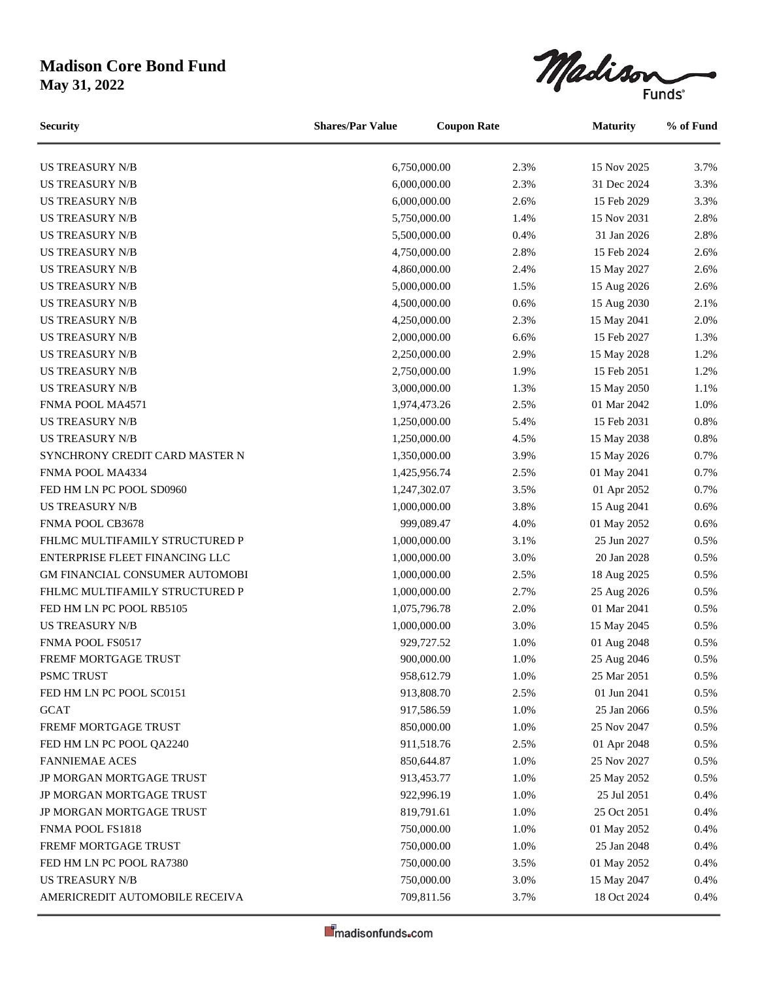Madison

US TREASURY N/B 6,750,000.00 2.3% 15 Nov 2025 3.7% **Security Shares/Par Value Coupon Rate Maturity % of Fund**

| <b>US TREASURY N/B</b>         | 6,000,000.00 | 2.3% | 31 Dec 2024 | 3.3%    |
|--------------------------------|--------------|------|-------------|---------|
| <b>US TREASURY N/B</b>         | 6,000,000.00 | 2.6% | 15 Feb 2029 | 3.3%    |
| <b>US TREASURY N/B</b>         | 5,750,000.00 | 1.4% | 15 Nov 2031 | 2.8%    |
| <b>US TREASURY N/B</b>         | 5,500,000.00 | 0.4% | 31 Jan 2026 | 2.8%    |
| <b>US TREASURY N/B</b>         | 4,750,000.00 | 2.8% | 15 Feb 2024 | 2.6%    |
| <b>US TREASURY N/B</b>         | 4,860,000.00 | 2.4% | 15 May 2027 | 2.6%    |
| <b>US TREASURY N/B</b>         | 5,000,000.00 | 1.5% | 15 Aug 2026 | 2.6%    |
| <b>US TREASURY N/B</b>         | 4,500,000.00 | 0.6% | 15 Aug 2030 | 2.1%    |
| <b>US TREASURY N/B</b>         | 4,250,000.00 | 2.3% | 15 May 2041 | 2.0%    |
| <b>US TREASURY N/B</b>         | 2,000,000.00 | 6.6% | 15 Feb 2027 | 1.3%    |
| <b>US TREASURY N/B</b>         | 2,250,000.00 | 2.9% | 15 May 2028 | 1.2%    |
| <b>US TREASURY N/B</b>         | 2,750,000.00 | 1.9% | 15 Feb 2051 | 1.2%    |
| <b>US TREASURY N/B</b>         | 3,000,000.00 | 1.3% | 15 May 2050 | 1.1%    |
| FNMA POOL MA4571               | 1,974,473.26 | 2.5% | 01 Mar 2042 | 1.0%    |
| <b>US TREASURY N/B</b>         | 1,250,000.00 | 5.4% | 15 Feb 2031 | $0.8\%$ |
| <b>US TREASURY N/B</b>         | 1,250,000.00 | 4.5% | 15 May 2038 | 0.8%    |
| SYNCHRONY CREDIT CARD MASTER N | 1,350,000.00 | 3.9% | 15 May 2026 | 0.7%    |
| FNMA POOL MA4334               | 1,425,956.74 | 2.5% | 01 May 2041 | 0.7%    |
| FED HM LN PC POOL SD0960       | 1,247,302.07 | 3.5% | 01 Apr 2052 | 0.7%    |
| <b>US TREASURY N/B</b>         | 1,000,000.00 | 3.8% | 15 Aug 2041 | 0.6%    |
| FNMA POOL CB3678               | 999,089.47   | 4.0% | 01 May 2052 | 0.6%    |
| FHLMC MULTIFAMILY STRUCTURED P | 1,000,000.00 | 3.1% | 25 Jun 2027 | 0.5%    |
| ENTERPRISE FLEET FINANCING LLC | 1,000,000.00 | 3.0% | 20 Jan 2028 | 0.5%    |
| GM FINANCIAL CONSUMER AUTOMOBI | 1,000,000.00 | 2.5% | 18 Aug 2025 | 0.5%    |
| FHLMC MULTIFAMILY STRUCTURED P | 1,000,000.00 | 2.7% | 25 Aug 2026 | 0.5%    |
| FED HM LN PC POOL RB5105       | 1,075,796.78 | 2.0% | 01 Mar 2041 | 0.5%    |
| <b>US TREASURY N/B</b>         | 1,000,000.00 | 3.0% | 15 May 2045 | 0.5%    |
| FNMA POOL FS0517               | 929,727.52   | 1.0% | 01 Aug 2048 | 0.5%    |
| FREMF MORTGAGE TRUST           | 900,000.00   | 1.0% | 25 Aug 2046 | 0.5%    |
| PSMC TRUST                     | 958,612.79   | 1.0% | 25 Mar 2051 | 0.5%    |
| FED HM LN PC POOL SC0151       | 913,808.70   | 2.5% | 01 Jun 2041 | 0.5%    |
| <b>GCAT</b>                    | 917,586.59   | 1.0% | 25 Jan 2066 | 0.5%    |
| FREMF MORTGAGE TRUST           | 850,000.00   | 1.0% | 25 Nov 2047 | 0.5%    |
| FED HM LN PC POOL QA2240       | 911,518.76   | 2.5% | 01 Apr 2048 | 0.5%    |
| <b>FANNIEMAE ACES</b>          | 850,644.87   | 1.0% | 25 Nov 2027 | 0.5%    |
| JP MORGAN MORTGAGE TRUST       | 913,453.77   | 1.0% | 25 May 2052 | 0.5%    |
| JP MORGAN MORTGAGE TRUST       | 922,996.19   | 1.0% | 25 Jul 2051 | 0.4%    |
| JP MORGAN MORTGAGE TRUST       | 819,791.61   | 1.0% | 25 Oct 2051 | 0.4%    |
| FNMA POOL FS1818               | 750,000.00   | 1.0% | 01 May 2052 | 0.4%    |
| FREMF MORTGAGE TRUST           | 750,000.00   | 1.0% | 25 Jan 2048 | 0.4%    |
| FED HM LN PC POOL RA7380       | 750,000.00   | 3.5% | 01 May 2052 | 0.4%    |
| <b>US TREASURY N/B</b>         | 750,000.00   | 3.0% | 15 May 2047 | 0.4%    |
| AMERICREDIT AUTOMOBILE RECEIVA | 709,811.56   | 3.7% | 18 Oct 2024 | 0.4%    |
|                                |              |      |             |         |

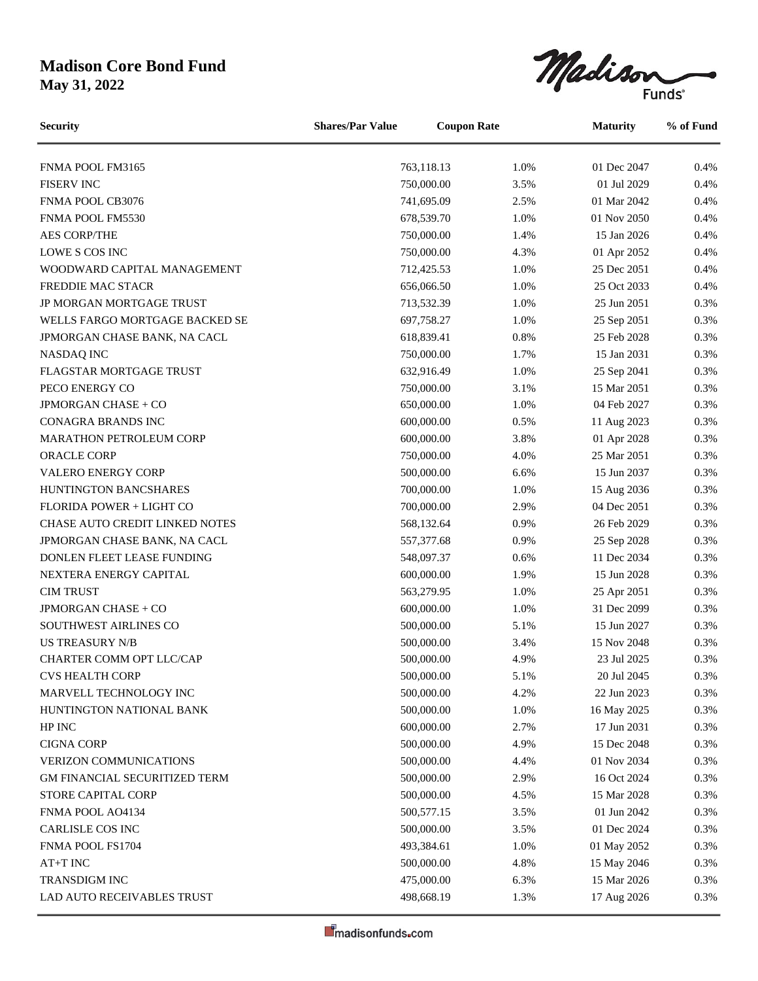Madison

| <b>Security</b>                      | <b>Shares/Par Value</b><br><b>Coupon Rate</b> |            | <b>Maturity</b> |             | % of Fund |
|--------------------------------------|-----------------------------------------------|------------|-----------------|-------------|-----------|
| FNMA POOL FM3165                     |                                               | 763,118.13 | 1.0%            | 01 Dec 2047 | 0.4%      |
| <b>FISERV INC</b>                    |                                               | 750,000.00 | 3.5%            | 01 Jul 2029 | 0.4%      |
| FNMA POOL CB3076                     |                                               | 741,695.09 | 2.5%            | 01 Mar 2042 | 0.4%      |
| FNMA POOL FM5530                     |                                               | 678,539.70 | 1.0%            | 01 Nov 2050 | 0.4%      |
| <b>AES CORP/THE</b>                  |                                               | 750,000.00 | 1.4%            | 15 Jan 2026 | 0.4%      |
| LOWE S COS INC                       |                                               | 750,000.00 | 4.3%            | 01 Apr 2052 | 0.4%      |
| WOODWARD CAPITAL MANAGEMENT          |                                               | 712,425.53 | 1.0%            | 25 Dec 2051 | 0.4%      |
| FREDDIE MAC STACR                    |                                               | 656,066.50 | 1.0%            | 25 Oct 2033 | 0.4%      |
| JP MORGAN MORTGAGE TRUST             |                                               | 713,532.39 | 1.0%            | 25 Jun 2051 | 0.3%      |
| WELLS FARGO MORTGAGE BACKED SE       |                                               | 697,758.27 | 1.0%            | 25 Sep 2051 | 0.3%      |
| JPMORGAN CHASE BANK, NA CACL         |                                               | 618,839.41 | 0.8%            | 25 Feb 2028 | 0.3%      |
| NASDAQ INC                           |                                               | 750,000.00 | 1.7%            | 15 Jan 2031 | 0.3%      |
| FLAGSTAR MORTGAGE TRUST              |                                               | 632,916.49 | 1.0%            | 25 Sep 2041 | 0.3%      |
| PECO ENERGY CO                       |                                               | 750,000.00 | 3.1%            | 15 Mar 2051 | 0.3%      |
| JPMORGAN CHASE + CO                  |                                               | 650,000.00 | 1.0%            | 04 Feb 2027 | 0.3%      |
| CONAGRA BRANDS INC                   |                                               | 600,000.00 | 0.5%            | 11 Aug 2023 | 0.3%      |
| MARATHON PETROLEUM CORP              |                                               | 600,000.00 | 3.8%            | 01 Apr 2028 | 0.3%      |
| ORACLE CORP                          |                                               | 750,000.00 | 4.0%            | 25 Mar 2051 | 0.3%      |
| <b>VALERO ENERGY CORP</b>            |                                               | 500,000.00 | 6.6%            | 15 Jun 2037 | 0.3%      |
| HUNTINGTON BANCSHARES                |                                               | 700,000.00 | 1.0%            | 15 Aug 2036 | 0.3%      |
| FLORIDA POWER + LIGHT CO             |                                               | 700,000.00 | 2.9%            | 04 Dec 2051 | 0.3%      |
| CHASE AUTO CREDIT LINKED NOTES       |                                               | 568,132.64 | 0.9%            | 26 Feb 2029 | 0.3%      |
| JPMORGAN CHASE BANK, NA CACL         |                                               | 557,377.68 | 0.9%            | 25 Sep 2028 | 0.3%      |
| DONLEN FLEET LEASE FUNDING           |                                               | 548,097.37 | 0.6%            | 11 Dec 2034 | 0.3%      |
| NEXTERA ENERGY CAPITAL               |                                               | 600,000.00 | 1.9%            | 15 Jun 2028 | 0.3%      |
| <b>CIM TRUST</b>                     |                                               | 563,279.95 | 1.0%            | 25 Apr 2051 | 0.3%      |
| <b>JPMORGAN CHASE + CO</b>           |                                               | 600,000.00 | 1.0%            | 31 Dec 2099 | 0.3%      |
| SOUTHWEST AIRLINES CO                |                                               | 500,000.00 | 5.1%            | 15 Jun 2027 | 0.3%      |
| <b>US TREASURY N/B</b>               |                                               | 500,000.00 | 3.4%            | 15 Nov 2048 | 0.3%      |
| CHARTER COMM OPT LLC/CAP             |                                               | 500,000.00 | 4.9%            | 23 Jul 2025 | 0.3%      |
| <b>CVS HEALTH CORP</b>               |                                               | 500,000.00 | 5.1%            | 20 Jul 2045 | 0.3%      |
| MARVELL TECHNOLOGY INC               |                                               | 500,000.00 | 4.2%            | 22 Jun 2023 | 0.3%      |
| HUNTINGTON NATIONAL BANK             |                                               | 500,000.00 | 1.0%            | 16 May 2025 | 0.3%      |
| HP INC                               |                                               | 600,000.00 | 2.7%            | 17 Jun 2031 | 0.3%      |
| <b>CIGNA CORP</b>                    |                                               | 500,000.00 | 4.9%            | 15 Dec 2048 | 0.3%      |
| VERIZON COMMUNICATIONS               |                                               | 500,000.00 | 4.4%            | 01 Nov 2034 | 0.3%      |
| <b>GM FINANCIAL SECURITIZED TERM</b> |                                               | 500,000.00 | 2.9%            | 16 Oct 2024 | 0.3%      |
| STORE CAPITAL CORP                   |                                               | 500,000.00 | 4.5%            | 15 Mar 2028 | 0.3%      |
| FNMA POOL AO4134                     |                                               | 500,577.15 | 3.5%            | 01 Jun 2042 | 0.3%      |
| CARLISLE COS INC                     |                                               | 500,000.00 | 3.5%            | 01 Dec 2024 | 0.3%      |
| FNMA POOL FS1704                     |                                               | 493,384.61 | 1.0%            | 01 May 2052 | 0.3%      |
| AT+T INC                             |                                               | 500,000.00 | 4.8%            | 15 May 2046 | 0.3%      |
| TRANSDIGM INC                        |                                               | 475,000.00 | 6.3%            | 15 Mar 2026 | 0.3%      |
| LAD AUTO RECEIVABLES TRUST           |                                               | 498,668.19 | 1.3%            | 17 Aug 2026 | 0.3%      |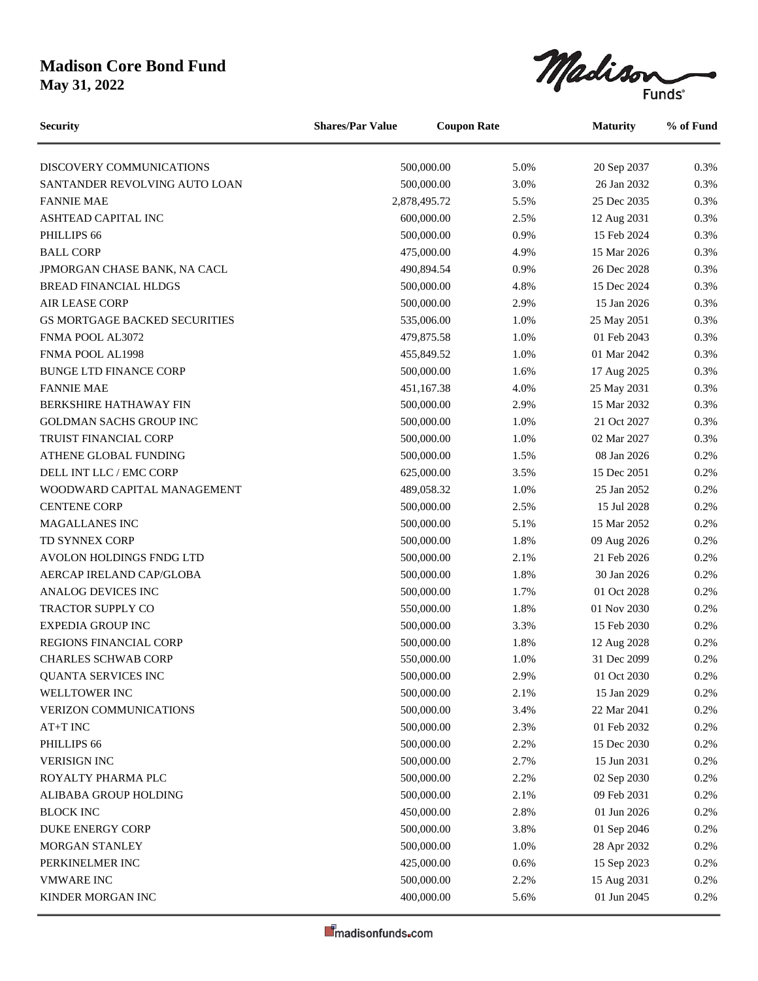Madison

DISCOVERY COMMUNICATIONS 500,000.00 5.0% 20 Sep 2037 0.3% SANTANDER REVOLVING AUTO LOAN 500,000.00 3.0% 26 Jan 2032 0.3% FANNIE MAE 2,878,495.72 5.5% 25 Dec 2035 0.3% ASHTEAD CAPITAL INC 600,000.00 2.5% 12 Aug 2031 0.3% PHILLIPS 66 500,000.00 0.9% 15 Feb 2024 0.3% BALL CORP 6.3% 15 Mar 2026 15 Mar 2026 15 Mar 2026 15 Mar 2026 15 Mar 2026 15 Mar 2026 15 Mar 2026 15 Mar 2026 JPMORGAN CHASE BANK, NA CACL 490,894.54 0.9% 26 Dec 2028 0.3% BREAD FINANCIAL HLDGS 500,000.00 4.8% 15 Dec 2024 0.3% AIR LEASE CORP 60.3% 15 Jan 2026 15 Jan 2026 16.5 AIR LEASE CORP GS MORTGAGE BACKED SECURITIES 535,006.00 1.0% 25 May 2051 0.3% FNMA POOL AL3072 479,875.58 1.0% 01 Feb 2043 0.3% FNMA POOL AL1998 **155.849.52** 1.0% 01 Mar 2042 0.3% BUNGE LTD FINANCE CORP 500,000.00 1.6% 17 Aug 2025 0.3% FANNIE MAE 68 100 25 May 2031 10.3% 25 May 2031 10.3% BERKSHIRE HATHAWAY FIN 500,000.00 2.9% 15 Mar 2032 0.3% GOLDMAN SACHS GROUP INC 500,000.00 1.0% 21 Oct 2027 0.3% TRUIST FINANCIAL CORP 500,000.00 1.0% 02 Mar 2027 0.3% ATHENE GLOBAL FUNDING  $500,000.00$   $1.5\%$  08 Jan 2026 0.2% DELL INT LLC / EMC CORP 625,000.00 3.5% 15 Dec 2051 0.2% WOODWARD CAPITAL MANAGEMENT 489,058.32 1.0% 25 Jan 2052 0.2% CENTENE CORP 60000000 2.5% 15 Jul 2028 0.2% MAGALLANES INC 500,000.00 5.1% 15 Mar 2052 0.2% TD SYNNEX CORP 60.2% 60.000.00 1.8% 09 Aug 2026 0.2% AVOLON HOLDINGS FNDG LTD 500,000.00 2.1% 21 Feb 2026 0.2% AERCAP IRELAND CAP/GLOBA 60.2% 60.2% 500,000.00 1.8% 30 Jan 2026 1.8% 30 Jan 2026 1.8% ANALOG DEVICES INC 500,000.00 1.7% 01 Oct 2028 0.2% TRACTOR SUPPLY CO 6550,000.00 1.8% 01 Nov 2030 0.2% EXPEDIA GROUP INC 60000000 500,000,000 3.3% 15 Feb 2030 0.2% REGIONS FINANCIAL CORP 500,000.00 1.8% 12 Aug 2028 0.2% CHARLES SCHWAB CORP 6.2% 6.2% 550,000.00 1.0% 31 Dec 2099 0.2% QUANTA SERVICES INC 500,000.00 2.9% 01 Oct 2030 0.2% WELLTOWER INC 500,000.00 2.1% 15 Jan 2029 0.2% VERIZON COMMUNICATIONS 500,000.00 3.4% 22 Mar 2041 0.2% AT+T INC 60000.00 2.3% 01 Feb 2032 0.2% PHILLIPS 66 6 6 2030 15 Dec 2030 15 Dec 2030 15 Dec 2030 15 Dec 2030 15 Dec 2030 15 Dec 2030 15 Dec 2030 15 Dec 2030 VERISIGN INC 500,000.00 2.7% 15 Jun 2031 0.2% ROYALTY PHARMA PLC 600,000.00 500,000.00 2.2% 02 Sep 2030 0.2% ALIBABA GROUP HOLDING  $500,000,00$   $2.1\%$  09 Feb 2031 0.2% BLOCK INC 450,000.00 2.8% 01 Jun 2026 0.2% DUKE ENERGY CORP 500,000.00 3.8% 01 Sep 2046 0.2% MORGAN STANLEY 600,000.00 1.0% 28 Apr 2032 0.2% PERKINELMER INC 125,000.00 0.6% 15 Sep 2023 0.2% VMWARE INC 500,000.00 2.2% 15 Aug 2031 0.2% KINDER MORGAN INC 400,000.00 5.6% 01 Jun 2045 0.2% **Security Shares/Par Value Coupon Rate Maturity % of Fund**

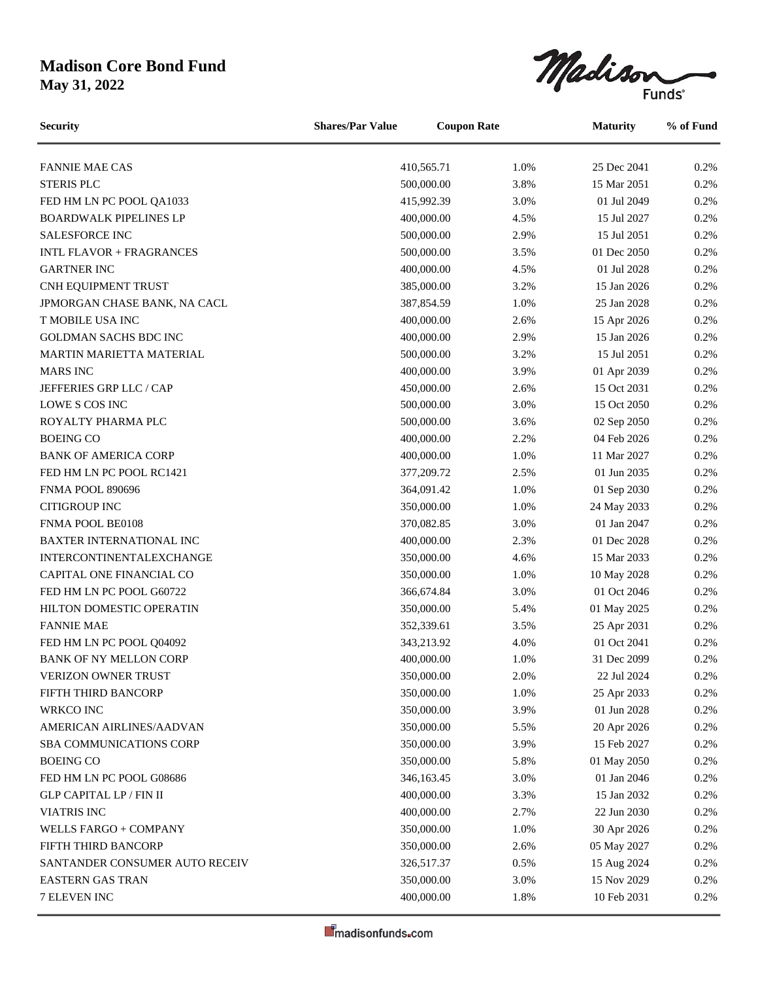Madison

FANNIE MAE CAS 25 Dec 2041 0.2% STERIS PLC 60.000.00 500,000.00 3.8% 15 Mar 2051 0.2% FED HM LN PC POOL QA1033 415,992.39 3.0% 01 Jul 2049 0.2% BOARDWALK PIPELINES LP 400,000.00 4.5% 15 Jul 2027 0.2% SALESFORCE INC 600,000.00 500,000.00 2.9% 15 Jul 2051 0.2% INTL FLAVOR + FRAGRANCES 500,000.00 3.5% 01 Dec 2050 0.2% GARTNER INC 6. 100,000.00 4.5% 01 Jul 2028 0.2% CNH EQUIPMENT TRUST 1885,000.00 3.2% 15 Jan 2026 0.2% JPMORGAN CHASE BANK, NA CACL 387,854.59 1.0% 25 Jan 2028 0.2% T MOBILE USA INC 100,000.00 15 Apr 2026 15 Apr 2026 15 Apr 2026 15 Apr 2026 15 Apr 2026 15 Apr 2026 15 Apr 2026 GOLDMAN SACHS BDC INC 100,000.00 2.9% 15 Jan 2026 0.2% MARTIN MARIETTA MATERIAL 500,000.00 3.2% 15 Jul 2051 0.2% MARS INC 400,000.00 3.9% 01 Apr 2039 0.2% JEFFERIES GRP LLC / CAP 450,000.00 2.6% 15 Oct 2031 0.2% LOWE S COS INC 500,000.00 3.0% 15 Oct 2050 0.2% **Security Shares/Par Value Coupon Rate Maturity % of Fund**

| ROYALTY PHARMA PLC              | 500,000.00 | 3.6% | 02 Sep 2050 | 0.2% |
|---------------------------------|------------|------|-------------|------|
| <b>BOEING CO</b>                | 400,000.00 | 2.2% | 04 Feb 2026 | 0.2% |
| <b>BANK OF AMERICA CORP</b>     | 400,000.00 | 1.0% | 11 Mar 2027 | 0.2% |
| FED HM LN PC POOL RC1421        | 377,209.72 | 2.5% | 01 Jun 2035 | 0.2% |
| <b>FNMA POOL 890696</b>         | 364,091.42 | 1.0% | 01 Sep 2030 | 0.2% |
| <b>CITIGROUP INC</b>            | 350,000.00 | 1.0% | 24 May 2033 | 0.2% |
| FNMA POOL BE0108                | 370,082.85 | 3.0% | 01 Jan 2047 | 0.2% |
| <b>BAXTER INTERNATIONAL INC</b> | 400,000.00 | 2.3% | 01 Dec 2028 | 0.2% |
| <b>INTERCONTINENTALEXCHANGE</b> | 350,000.00 | 4.6% | 15 Mar 2033 | 0.2% |
| CAPITAL ONE FINANCIAL CO        | 350,000.00 | 1.0% | 10 May 2028 | 0.2% |
| FED HM LN PC POOL G60722        | 366,674.84 | 3.0% | 01 Oct 2046 | 0.2% |
| HILTON DOMESTIC OPERATIN        | 350,000.00 | 5.4% | 01 May 2025 | 0.2% |
| <b>FANNIE MAE</b>               | 352,339.61 | 3.5% | 25 Apr 2031 | 0.2% |
| FED HM LN PC POOL Q04092        | 343,213.92 | 4.0% | 01 Oct 2041 | 0.2% |
| <b>BANK OF NY MELLON CORP</b>   | 400,000.00 | 1.0% | 31 Dec 2099 | 0.2% |
| VERIZON OWNER TRUST             | 350,000.00 | 2.0% | 22 Jul 2024 | 0.2% |
| FIFTH THIRD BANCORP             | 350,000.00 | 1.0% | 25 Apr 2033 | 0.2% |
| <b>WRKCO INC</b>                | 350,000.00 | 3.9% | 01 Jun 2028 | 0.2% |
| AMERICAN AIRLINES/AADVAN        | 350,000.00 | 5.5% | 20 Apr 2026 | 0.2% |
| <b>SBA COMMUNICATIONS CORP</b>  | 350,000.00 | 3.9% | 15 Feb 2027 | 0.2% |
| <b>BOEING CO</b>                | 350,000.00 | 5.8% | 01 May 2050 | 0.2% |
| FED HM LN PC POOL G08686        | 346,163.45 | 3.0% | 01 Jan 2046 | 0.2% |
| <b>GLP CAPITAL LP / FIN II</b>  | 400,000.00 | 3.3% | 15 Jan 2032 | 0.2% |
| <b>VIATRIS INC</b>              | 400,000.00 | 2.7% | 22 Jun 2030 | 0.2% |
| WELLS FARGO + COMPANY           | 350,000.00 | 1.0% | 30 Apr 2026 | 0.2% |
| FIFTH THIRD BANCORP             | 350,000.00 | 2.6% | 05 May 2027 | 0.2% |
| SANTANDER CONSUMER AUTO RECEIV  | 326,517.37 | 0.5% | 15 Aug 2024 | 0.2% |
| <b>EASTERN GAS TRAN</b>         | 350,000.00 | 3.0% | 15 Nov 2029 | 0.2% |
| <b>7 ELEVEN INC</b>             | 400,000.00 | 1.8% | 10 Feb 2031 | 0.2% |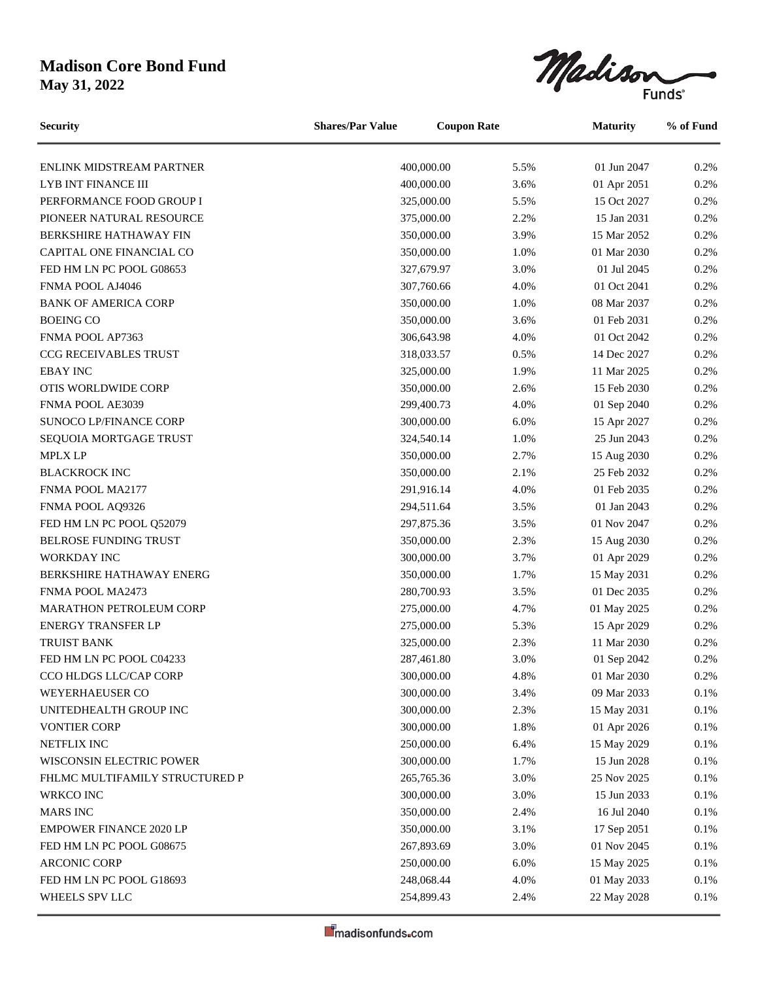Madison

ENLINK MIDSTREAM PARTNER 400,000.00 5.5% 01 Jun 2047 0.2% LYB INT FINANCE III  $400,000.00$   $3.6\%$  01 Apr 2051 0.2% PERFORMANCE FOOD GROUP I 325,000.00 5.5% 15 Oct 2027 0.2% PIONEER NATURAL RESOURCE 375,000.00 2.2% 15 Jan 2031 0.2% BERKSHIRE HATHAWAY FIN 350,000.00 3.9% 15 Mar 2052 0.2% CAPITAL ONE FINANCIAL CO 350,000.00 1.0% 01 Mar 2030 0.2% FED HM LN PC POOL G08653 327,679.97 3.0% 01 Jul 2045 0.2% FNMA POOL AJ4046 **307,760.66** 4.0% 01 Oct 2041 0.2% BANK OF AMERICA CORP 250,000.00 1.0% 08 Mar 2037 0.2% BOEING CO 6 600 1 600 1 600 1 600 1 600 1 600 1 600 1 600 1 600 1 600 1 600 1 600 1 600 1 600 1 600 1 600 1 60 FNMA POOL AP7363 68.643.98 306.643.98 4.0% 01 Oct 2042 0.2% CCG RECEIVABLES TRUST 318,033.57 0.5% 14 Dec 2027 0.2% EBAY INC 6. 22% 11 Mar 2025 0.2% 11 Mar 2025 0.2% OTIS WORLDWIDE CORP 2.6% 15 Feb 2030 0.2% FNMA POOL AE3039 299,400.73 4.0% 01 Sep 2040 0.2% SUNOCO LP/FINANCE CORP 300,000.00 6.0% 15 Apr 2027 0.2% SEQUOIA MORTGAGE TRUST 25 Jun 2043 0.2% MPLX LP 350,000.00 2.7% 15 Aug 2030 0.2% BLACKROCK INC 6.2% 25 Feb 2032 0.2% FNMA POOL MA2177 291,916.14 4.0% 01 Feb 2035 0.2% FNMA POOL AQ9326 294,511.64 3.5% 01 Jan 2043 0.2% FED HM LN PC POOL 052079 297,875.36 3.5% 01 Nov 2047 0.2% BELROSE FUNDING TRUST 15 Aug 2030 15 Aug 2030 12.3% 15 Aug 2030 12.3% 15 Aug 2030 WORKDAY INC 6. 2% 1.0 and 2029 1.0 and 300,000.00 3.7% 01 Apr 2029 0.2% BERKSHIRE HATHAWAY ENERG 150,000.00 1.7% 15 May 2031 1.7% 15 May 2031 1.7% FNMA POOL MA2473 280,700.93 3.5% 01 Dec 2035 0.2% MARATHON PETROLEUM CORP 275,000.00 4.7% 01 May 2025 0.2% ENERGY TRANSFER LP 275,000.00 5.3% 15 Apr 2029 0.2% TRUIST BANK 325,000.00 2.3% 11 Mar 2030 0.2% FED HM LN PC POOL C04233 287,461.80 3.0% 01 Sep 2042 0.2% CCO HLDGS LLC/CAP CORP 300,000.00 4.8% 01 Mar 2030 0.2% WEYERHAEUSER CO 300,000.00 3.4% 09 Mar 2033 0.1% UNITEDHEALTH GROUP INC  $300,000.00$   $2.3\%$  15 May 2031 0.1% VONTIER CORP 6.1% 1.8% 01 Apr 2026 0.1% NETFLIX INC 250,000.00 6.4% 15 May 2029 0.1% WISCONSIN ELECTRIC POWER 15 Jun 2028 0.1% FHLMC MULTIFAMILY STRUCTURED P 265,765.36 3.0% 25 Nov 2025 0.1% WRKCO INC 6.1% 15 Jun 2033 0.1% 16 and 300,000.00 3.0% 15 Jun 2033 0.1% MARS INC 6.1% 16 Jul 2040 16 Jul 2040 16 Jul 2040 16 Jul 2040 16 Jul 2040 16 Jul 2040 16 Jul 2040 1.1% EMPOWER FINANCE 2020 LP 350,000.00 3.1% 17 Sep 2051 0.1% FED HM LN PC POOL G08675 267,893.69 3.0% 01 Nov 2045 0.1% ARCONIC CORP 250,000.00 6.0% 15 May 2025 0.1% FED HM LN PC POOL G18693 248,068.44 4.0% 01 May 2033 0.1% WHEELS SPV LLC 254,899.43 2.4% 22 May 2028 0.1% **Security Shares/Par Value Coupon Rate Maturity % of Fund**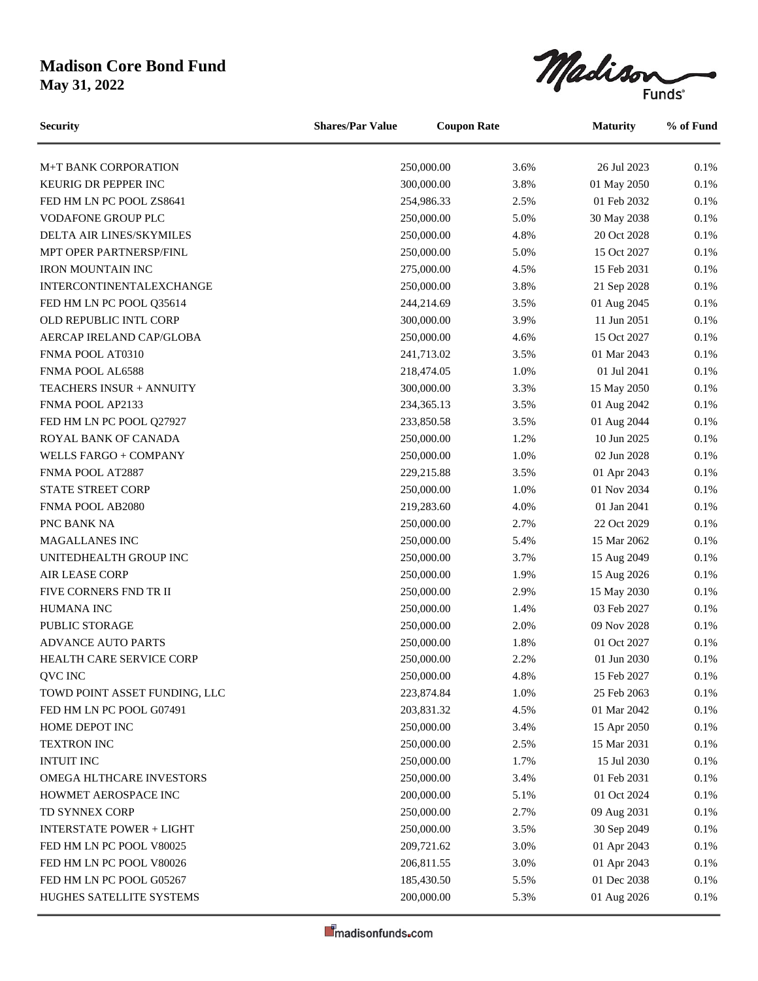Madison

M+T BANK CORPORATION 250,000.00 3.6% 26 Jul 2023 0.1% KEURIG DR PEPPER INC 6.1% 200,000.00 3.8% 01 May 2050 0.1% FED HM LN PC POOL ZS8641 254,986.33 2.5% 01 Feb 2032 0.1% VODAFONE GROUP PLC 250,000.00 5.0% 30 May 2038 0.1% DELTA AIR LINES/SKYMILES 250,000.00 4.8% 20 Oct 2028 0.1% MPT OPER PARTNERSP/FINL 250,000.00 5.0% 15 Oct 2027 0.1% IRON MOUNTAIN INC 275,000.00 4.5% 15 Feb 2031 0.1% INTERCONTINENTALEXCHANGE 250,000.00 3.8% 21 Sep 2028 0.1% FED HM LN PC POOL 035614 244,214.69 3.5% 01 Aug 2045 0.1% OLD REPUBLIC INTL CORP 300,000.00 3.9% 11 Jun 2051 0.1% AERCAP IRELAND CAP/GLOBA 250,000.00 4.6% 15 Oct 2027 0.1% FNMA POOL AT0310 241,713.02 3.5% 01 Mar 2043 0.1% FNMA POOL AL6588 218,474.05 218,474.05 1.0% 01 Jul 2041 0.1% TEACHERS INSUR + ANNUITY 300,000.00 3.3% 15 May 2050 0.1% FNMA POOL AP2133 234,365.13 3.5% 01 Aug 2042 0.1% FED HM LN PC POOL 027927 233,850.58 3.5% 01 Aug 2044 0.1% ROYAL BANK OF CANADA 250,000.00 1.2% 10 Jun 2025 0.1% WELLS FARGO + COMPANY 250,000.00 1.0% 02 Jun 2028 0.1% FNMA POOL AT2887 229,215.88 3.5% 01 Apr 2043 0.1% STATE STREET CORP 250,000.00 1.0% 01 Nov 2034 0.1% FNMA POOL AB2080 219,283.60 4.0% 01 Jan 2041 0.1% PNC BANK NA 250,000.00 2.7% 22 Oct 2029 0.1% MAGALLANES INC 250,000.00 5.4% 15 Mar 2062 0.1% UNITEDHEALTH GROUP INC 250,000.00 3.7% 15 Aug 2049 0.1% AIR LEASE CORP 250,000.00 1.9% 15 Aug 2026 0.1% FIVE CORNERS FND TR II 250,000.00 2.9% 15 May 2030 0.1% HUMANA INC 6.1% 1.4% 03 Feb 2027 0.1% PUBLIC STORAGE 250,000.00 2.0% 09 Nov 2028 0.1% ADVANCE AUTO PARTS 250,000.00 1.8% 01 Oct 2027 0.1% HEALTH CARE SERVICE CORP 250,000.00 2.2% 01 Jun 2030 0.1% QVC INC 250,000.00 4.8% 15 Feb 2027 0.1% TOWD POINT ASSET FUNDING, LLC 223,874.84 1.0% 25 Feb 2063 0.1% FED HM LN PC POOL G07491 203,831.32 4.5% 01 Mar 2042 0.1% HOME DEPOT INC 15 Apr 2050 0.1% 250,000.00 3.4% 15 Apr 2050 0.1% TEXTRON INC 18 10 250,000.00 2.5% 15 Mar 2031 0.1% INTUIT INC 250,000.00 1.7% 15 Jul 2030 0.1% OMEGA HLTHCARE INVESTORS 250,000.00 3.4% 01 Feb 2031 0.1% HOWMET AEROSPACE INC 200,000.00 5.1% 01 Oct 2024 0.1% TD SYNNEX CORP 250,000.00 2.7% 09 Aug 2031 0.1% INTERSTATE POWER + LIGHT 250,000.00 3.5% 30 Sep 2049 0.1% FED HM LN PC POOL V80025 209,721.62 3.0% 01 Apr 2043 0.1% FED HM LN PC POOL V80026 206,811.55 3.0% 01 Apr 2043 0.1% FED HM LN PC POOL G05267 185,430.50 5.5% 01 Dec 2038 0.1% HUGHES SATELLITE SYSTEMS 200,000.00 5.3% 01 Aug 2026 0.1% **Security Shares/Par Value Coupon Rate Maturity % of Fund**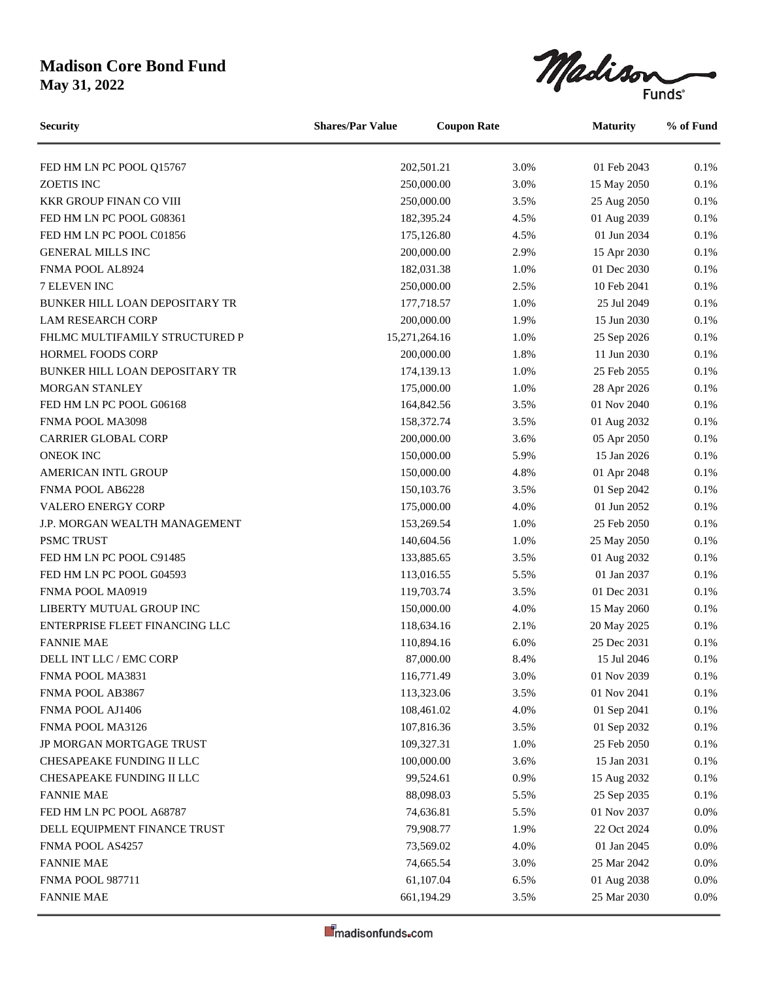Madison  $\overline{\phantom{0}}$ 

| <b>Security</b>                | <b>Coupon Rate</b><br><b>Shares/Par Value</b> |  | <b>Maturity</b> |             | % of Fund |
|--------------------------------|-----------------------------------------------|--|-----------------|-------------|-----------|
| FED HM LN PC POOL Q15767       | 202,501.21                                    |  | 3.0%            | 01 Feb 2043 | 0.1%      |
| ZOETIS INC                     | 250,000.00                                    |  | 3.0%            | 15 May 2050 | 0.1%      |
| <b>KKR GROUP FINAN CO VIII</b> | 250,000.00                                    |  | 3.5%            | 25 Aug 2050 | 0.1%      |
| FED HM LN PC POOL G08361       | 182,395.24                                    |  | 4.5%            | 01 Aug 2039 | 0.1%      |
| FED HM LN PC POOL C01856       | 175,126.80                                    |  | 4.5%            | 01 Jun 2034 | 0.1%      |
| <b>GENERAL MILLS INC</b>       | 200,000.00                                    |  | 2.9%            | 15 Apr 2030 | $0.1\%$   |
| FNMA POOL AL8924               | 182,031.38                                    |  | 1.0%            | 01 Dec 2030 | $0.1\%$   |
| 7 ELEVEN INC                   | 250,000.00                                    |  | 2.5%            | 10 Feb 2041 | 0.1%      |
| BUNKER HILL LOAN DEPOSITARY TR | 177,718.57                                    |  | 1.0%            | 25 Jul 2049 | 0.1%      |
| <b>LAM RESEARCH CORP</b>       | 200,000.00                                    |  | 1.9%            | 15 Jun 2030 | 0.1%      |
| FHLMC MULTIFAMILY STRUCTURED P | 15,271,264.16                                 |  | 1.0%            | 25 Sep 2026 | 0.1%      |
| <b>HORMEL FOODS CORP</b>       | 200,000.00                                    |  | 1.8%            | 11 Jun 2030 | 0.1%      |
| BUNKER HILL LOAN DEPOSITARY TR | 174,139.13                                    |  | 1.0%            | 25 Feb 2055 | 0.1%      |
| <b>MORGAN STANLEY</b>          | 175,000.00                                    |  | 1.0%            | 28 Apr 2026 | $0.1\%$   |
| FED HM LN PC POOL G06168       | 164,842.56                                    |  | 3.5%            | 01 Nov 2040 | 0.1%      |
| FNMA POOL MA3098               | 158,372.74                                    |  | 3.5%            | 01 Aug 2032 | $0.1\%$   |
| CARRIER GLOBAL CORP            | 200,000.00                                    |  | 3.6%            | 05 Apr 2050 | 0.1%      |
| <b>ONEOK INC</b>               | 150,000.00                                    |  | 5.9%            | 15 Jan 2026 | 0.1%      |
| AMERICAN INTL GROUP            | 150,000.00                                    |  | 4.8%            | 01 Apr 2048 | $0.1\%$   |
| FNMA POOL AB6228               | 150, 103. 76                                  |  | 3.5%            | 01 Sep 2042 | $0.1\%$   |
| VALERO ENERGY CORP             | 175,000.00                                    |  | 4.0%            | 01 Jun 2052 | 0.1%      |
| J.P. MORGAN WEALTH MANAGEMENT  | 153,269.54                                    |  | 1.0%            | 25 Feb 2050 | 0.1%      |
| PSMC TRUST                     | 140,604.56                                    |  | 1.0%            | 25 May 2050 | 0.1%      |
| FED HM LN PC POOL C91485       | 133,885.65                                    |  | 3.5%            | 01 Aug 2032 | 0.1%      |
| FED HM LN PC POOL G04593       | 113,016.55                                    |  | 5.5%            | 01 Jan 2037 | 0.1%      |
| FNMA POOL MA0919               | 119,703.74                                    |  | 3.5%            | 01 Dec 2031 | 0.1%      |
| LIBERTY MUTUAL GROUP INC       | 150,000.00                                    |  | 4.0%            | 15 May 2060 | $0.1\%$   |
| ENTERPRISE FLEET FINANCING LLC | 118,634.16                                    |  | 2.1%            | 20 May 2025 | 0.1%      |
| <b>FANNIE MAE</b>              | 110,894.16                                    |  | 6.0%            | 25 Dec 2031 | 0.1%      |
| DELL INT LLC / EMC CORP        | 87,000.00                                     |  | 8.4%            | 15 Jul 2046 | 0.1%      |
| FNMA POOL MA3831               | 116,771.49                                    |  | 3.0%            | 01 Nov 2039 | $0.1\%$   |
| FNMA POOL AB3867               | 113,323.06                                    |  | 3.5%            | 01 Nov 2041 | 0.1%      |
| FNMA POOL AJ1406               | 108,461.02                                    |  | 4.0%            | 01 Sep 2041 | $0.1\%$   |
| FNMA POOL MA3126               | 107,816.36                                    |  | 3.5%            | 01 Sep 2032 | $0.1\%$   |
| JP MORGAN MORTGAGE TRUST       | 109,327.31                                    |  | 1.0%            | 25 Feb 2050 | 0.1%      |
| CHESAPEAKE FUNDING II LLC      | 100,000.00                                    |  | 3.6%            | 15 Jan 2031 | $0.1\%$   |
| CHESAPEAKE FUNDING II LLC      | 99,524.61                                     |  | 0.9%            | 15 Aug 2032 | $0.1\%$   |
| <b>FANNIE MAE</b>              | 88,098.03                                     |  | 5.5%            | 25 Sep 2035 | 0.1%      |
| FED HM LN PC POOL A68787       | 74,636.81                                     |  | 5.5%            | 01 Nov 2037 | $0.0\%$   |
| DELL EQUIPMENT FINANCE TRUST   | 79,908.77                                     |  | 1.9%            | 22 Oct 2024 | 0.0%      |
| FNMA POOL AS4257               | 73,569.02                                     |  | 4.0%            | 01 Jan 2045 | 0.0%      |
| <b>FANNIE MAE</b>              | 74,665.54                                     |  | 3.0%            | 25 Mar 2042 | 0.0%      |
| <b>FNMA POOL 987711</b>        | 61,107.04                                     |  | 6.5%            | 01 Aug 2038 | $0.0\%$   |
| <b>FANNIE MAE</b>              | 661,194.29                                    |  | 3.5%            | 25 Mar 2030 | $0.0\%$   |
|                                |                                               |  |                 |             |           |